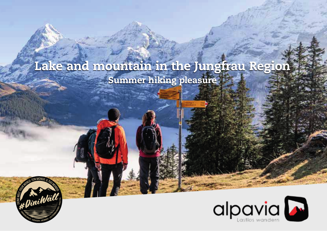# Lake and mountain in the Jungfrau Region Summer hiking pleasure